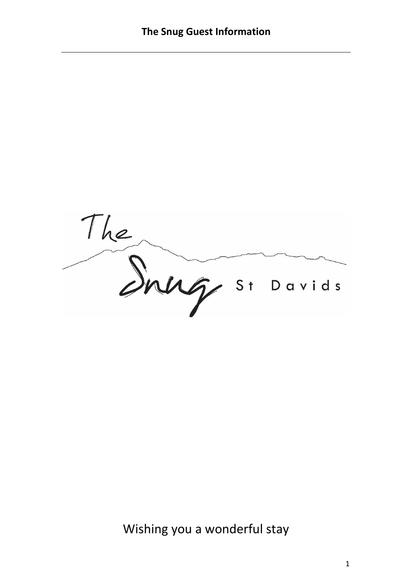The Snug si Davids

Wishing you a wonderful stay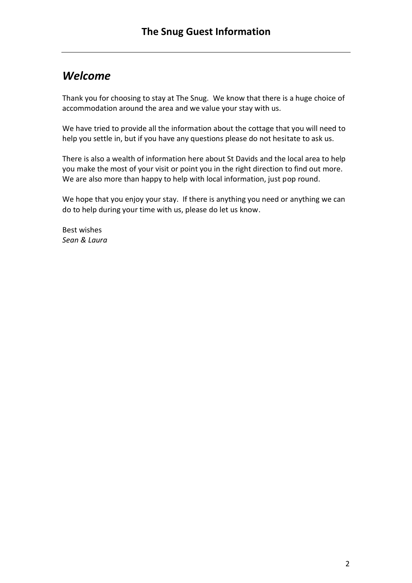# *Welcome*

Thank you for choosing to stay at The Snug. We know that there is a huge choice of accommodation around the area and we value your stay with us.

We have tried to provide all the information about the cottage that you will need to help you settle in, but if you have any questions please do not hesitate to ask us.

There is also a wealth of information here about St Davids and the local area to help you make the most of your visit or point you in the right direction to find out more. We are also more than happy to help with local information, just pop round.

We hope that you enjoy your stay. If there is anything you need or anything we can do to help during your time with us, please do let us know.

Best wishes *Sean & Laura*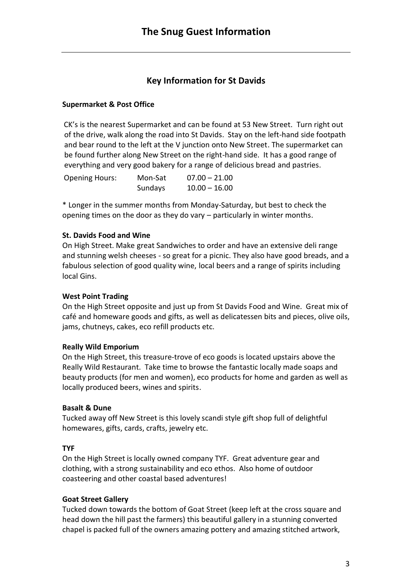# **Key Information for St Davids**

# **Supermarket & Post Office**

CK's is the nearest Supermarket and can be found at 53 New Street. Turn right out of the drive, walk along the road into St Davids. Stay on the left-hand side footpath and bear round to the left at the V junction onto New Street. The supermarket can be found further along New Street on the right-hand side. It has a good range of everything and very good bakery for a range of delicious bread and pastries.

| <b>Opening Hours:</b> | Mon-Sat | $07.00 - 21.00$ |
|-----------------------|---------|-----------------|
|                       | Sundays | $10.00 - 16.00$ |

\* Longer in the summer months from Monday-Saturday, but best to check the opening times on the door as they do vary – particularly in winter months.

# **St. Davids Food and Wine**

On High Street. Make great Sandwiches to order and have an extensive deli range and stunning welsh cheeses - so great for a picnic. They also have good breads, and a fabulous selection of good quality wine, local beers and a range of spirits including local Gins.

# **West Point Trading**

On the High Street opposite and just up from St Davids Food and Wine. Great mix of café and homeware goods and gifts, as well as delicatessen bits and pieces, olive oils, jams, chutneys, cakes, eco refill products etc.

# **Really Wild Emporium**

On the High Street, this treasure-trove of eco goods is located upstairs above the Really Wild Restaurant. Take time to browse the fantastic locally made soaps and beauty products (for men and women), eco products for home and garden as well as locally produced beers, wines and spirits.

# **Basalt & Dune**

Tucked away off New Street is this lovely scandi style gift shop full of delightful homewares, gifts, cards, crafts, jewelry etc.

# **TYF**

On the High Street is locally owned company TYF. Great adventure gear and clothing, with a strong sustainability and eco ethos. Also home of outdoor coasteering and other coastal based adventures!

# **Goat Street Gallery**

Tucked down towards the bottom of Goat Street (keep left at the cross square and head down the hill past the farmers) this beautiful gallery in a stunning converted chapel is packed full of the owners amazing pottery and amazing stitched artwork,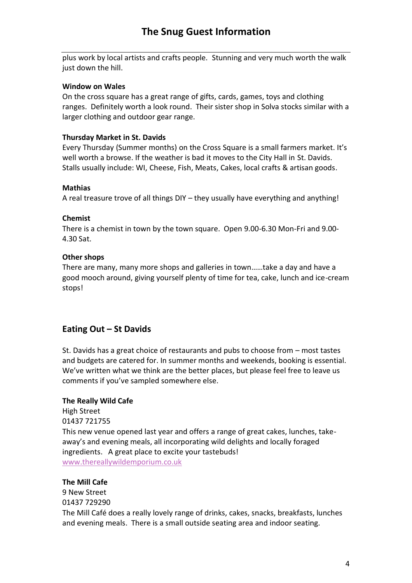plus work by local artists and crafts people. Stunning and very much worth the walk just down the hill.

### **Window on Wales**

On the cross square has a great range of gifts, cards, games, toys and clothing ranges. Definitely worth a look round. Their sister shop in Solva stocks similar with a larger clothing and outdoor gear range.

# **Thursday Market in St. Davids**

Every Thursday (Summer months) on the Cross Square is a small farmers market. It's well worth a browse. If the weather is bad it moves to the City Hall in St. Davids. Stalls usually include: WI, Cheese, Fish, Meats, Cakes, local crafts & artisan goods.

### **Mathias**

A real treasure trove of all things DIY – they usually have everything and anything!

### **Chemist**

There is a chemist in town by the town square. Open 9.00-6.30 Mon-Fri and 9.00- 4.30 Sat.

### **Other shops**

There are many, many more shops and galleries in town……take a day and have a good mooch around, giving yourself plenty of time for tea, cake, lunch and ice-cream stops!

# **Eating Out – St Davids**

St. Davids has a great choice of restaurants and pubs to choose from – most tastes and budgets are catered for. In summer months and weekends, booking is essential. We've written what we think are the better places, but please feel free to leave us comments if you've sampled somewhere else.

# **The Really Wild Cafe**

High Street 01437 721755 This new venue opened last year and offers a range of great cakes, lunches, takeaway's and evening meals, all incorporating wild delights and locally foraged ingredients. A great place to excite your tastebuds! [www.thereallywildemporium.co.uk](http://www.thereallywildemporium.co.uk/)

# **The Mill Cafe**

9 New Street 01437 729290 The Mill Café does a really lovely range of drinks, cakes, snacks, breakfasts, lunches and evening meals. There is a small outside seating area and indoor seating.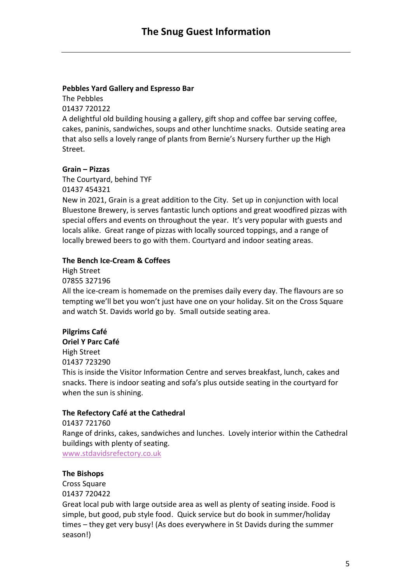# **Pebbles Yard Gallery and Espresso Bar**

The Pebbles 01437 720122 A delightful old building housing a gallery, gift shop and coffee bar serving coffee, cakes, paninis, sandwiches, soups and other lunchtime snacks. Outside seating area that also sells a lovely range of plants from Bernie's Nursery further up the High Street.

# **Grain – Pizzas**

The Courtyard, behind TYF 01437 454321 New in 2021, Grain is a great addition to the City. Set up in conjunction with local Bluestone Brewery, is serves fantastic lunch options and great woodfired pizzas with special offers and events on throughout the year. It's very popular with guests and locals alike. Great range of pizzas with locally sourced toppings, and a range of locally brewed beers to go with them. Courtyard and indoor seating areas.

### **The Bench Ice-Cream & Coffees**

High Street 07855 327196

All the ice-cream is homemade on the premises daily every day. The flavours are so tempting we'll bet you won't just have one on your holiday. Sit on the Cross Square and watch St. Davids world go by. Small outside seating area.

# **Pilgrims Café**

**Oriel Y Parc Café** High Street 01437 723290

This is inside the Visitor Information Centre and serves breakfast, lunch, cakes and snacks. There is indoor seating and sofa's plus outside seating in the courtyard for when the sun is shining.

# **The Refectory Café at the Cathedral**

01437 721760 Range of drinks, cakes, sandwiches and lunches. Lovely interior within the Cathedral buildings with plenty of seating. [www.stdavidsrefectory.co.uk](http://www.stdavidsrefectory.co.uk/)

# **The Bishops**

Cross Square 01437 720422 Great local pub with large outside area as well as plenty of seating inside. Food is simple, but good, pub style food. Quick service but do book in summer/holiday times – they get very busy! (As does everywhere in St Davids during the summer season!)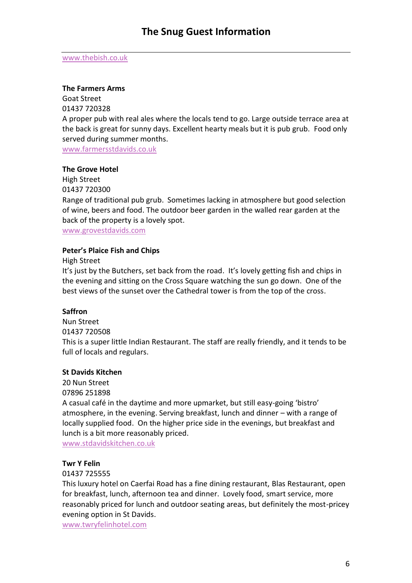#### [www.thebish.co.uk](http://www.thebish.co.uk/)

#### **The Farmers Arms**

Goat Street 01437 720328 A proper pub with real ales where the locals tend to go. Large outside terrace area at the back is great for sunny days. Excellent hearty meals but it is pub grub. Food only served during summer months. [www.farmersstdavids.co.uk](http://www.farmersstdavids.co.uk/)

**The Grove Hotel**

High Street 01437 720300

Range of traditional pub grub. Sometimes lacking in atmosphere but good selection of wine, beers and food. The outdoor beer garden in the walled rear garden at the back of the property is a lovely spot.

[www.grovestdavids.com](http://www.grovestdavids.com/)

#### **Peter's Plaice Fish and Chips**

High Street

It's just by the Butchers, set back from the road. It's lovely getting fish and chips in the evening and sitting on the Cross Square watching the sun go down. One of the best views of the sunset over the Cathedral tower is from the top of the cross.

#### **Saffron**

Nun Street 01437 720508 This is a super little Indian Restaurant. The staff are really friendly, and it tends to be full of locals and regulars.

#### **St Davids Kitchen**

20 Nun Street 07896 251898

A casual café in the daytime and more upmarket, but still easy-going 'bistro' atmosphere, in the evening. Serving breakfast, lunch and dinner – with a range of locally supplied food. On the higher price side in the evenings, but breakfast and lunch is a bit more reasonably priced.

[www.stdavidskitchen.co.uk](http://www.stdavidskitchen.co.uk/)

#### **Twr Y Felin**

01437 725555

This luxury hotel on Caerfai Road has a fine dining restaurant, Blas Restaurant, open for breakfast, lunch, afternoon tea and dinner. Lovely food, smart service, more reasonably priced for lunch and outdoor seating areas, but definitely the most-pricey evening option in St Davids.

[www.twryfelinhotel.com](http://www.twryfelinhotel.com/)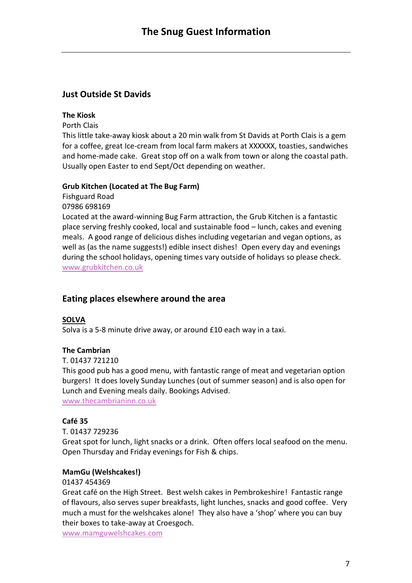# **Just Outside St Davids**

### **The Kiosk**

Porth Clais

This little take-away kiosk about a 20 min walk from St Davids at Porth Clais is a gem for a coffee, great Ice-cream from local farm makers at XXXXXX, toasties, sandwiches and home-made cake. Great stop off on a walk from town or along the coastal path. Usually open Easter to end Sept/Oct depending on weather.

### **Grub Kitchen (Located at The Bug Farm)**

Fishguard Road 07986 698169 Located at the award-winning Bug Farm attraction, the Grub Kitchen is a fantastic place serving freshly cooked, local and sustainable food – lunch, cakes and evening meals. A good range of delicious dishes including vegetarian and vegan options, as well as (as the name suggests!) edible insect dishes! Open every day and evenings during the school holidays, opening times vary outside of holidays so please check. [www.grubkitchen.co.uk](http://www.grubkitchen.co.uk/)

# **Eating places elsewhere around the area**

# **SOLVA**

Solva is a 5-8 minute drive away, or around £10 each way in a taxi.

# **The Cambrian**

T. 01437 721210

This good pub has a good menu, with fantastic range of meat and vegetarian option burgers! It does lovely Sunday Lunches (out of summer season) and is also open for Lunch and Evening meals daily. Bookings Advised.

[www.thecambrianinn.co.uk](http://www.thecambrianinn.co.uk/)

# **Café 35**

#### T. 01437 729236

Great spot for lunch, light snacks or a drink. Often offers local seafood on the menu. Open Thursday and Friday evenings for Fish & chips.

#### **MamGu (Welshcakes!)**

#### 01437 454369

Great café on the High Street. Best welsh cakes in Pembrokeshire! Fantastic range of flavours, also serves super breakfasts, light lunches, snacks and good coffee. Very much a must for the welshcakes alone! They also have a 'shop' where you can buy their boxes to take-away at Croesgoch.

[www.mamguwelshcakes.com](http://www.mamguwelshcakes.com/)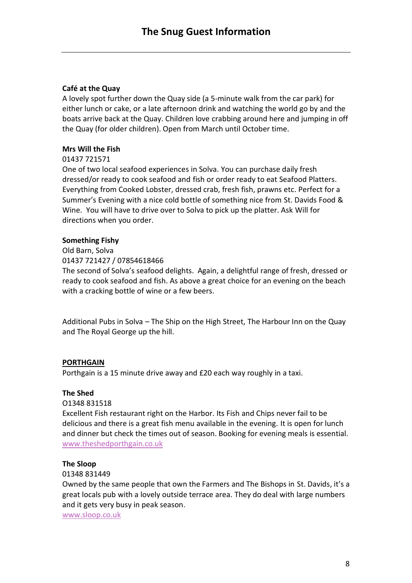### **Café at the Quay**

A lovely spot further down the Quay side (a 5-minute walk from the car park) for either lunch or cake, or a late afternoon drink and watching the world go by and the boats arrive back at the Quay. Children love crabbing around here and jumping in off the Quay (for older children). Open from March until October time.

### **Mrs Will the Fish**

#### 01437 721571

One of two local seafood experiences in Solva. You can purchase daily fresh dressed/or ready to cook seafood and fish or order ready to eat Seafood Platters. Everything from Cooked Lobster, dressed crab, fresh fish, prawns etc. Perfect for a Summer's Evening with a nice cold bottle of something nice from St. Davids Food & Wine. You will have to drive over to Solva to pick up the platter. Ask Will for directions when you order.

### **Something Fishy**

Old Barn, Solva 01437 721427 / 07854618466 The second of Solva's seafood delights. Again, a delightful range of fresh, dressed or ready to cook seafood and fish. As above a great choice for an evening on the beach with a cracking bottle of wine or a few beers.

Additional Pubs in Solva – The Ship on the High Street, The Harbour Inn on the Quay and The Royal George up the hill.

#### **PORTHGAIN**

Porthgain is a 15 minute drive away and £20 each way roughly in a taxi.

#### **The Shed**

#### O1348 831518

Excellent Fish restaurant right on the Harbor. Its Fish and Chips never fail to be delicious and there is a great fish menu available in the evening. It is open for lunch and dinner but check the times out of season. Booking for evening meals is essential. [www.theshedporthgain.co.uk](http://www.theshedporthgain.co.uk/)

#### **The Sloop**

#### 01348 831449

Owned by the same people that own the Farmers and The Bishops in St. Davids, it's a great locals pub with a lovely outside terrace area. They do deal with large numbers and it gets very busy in peak season.

[www.sloop.co.uk](http://www.sloop.co.uk/)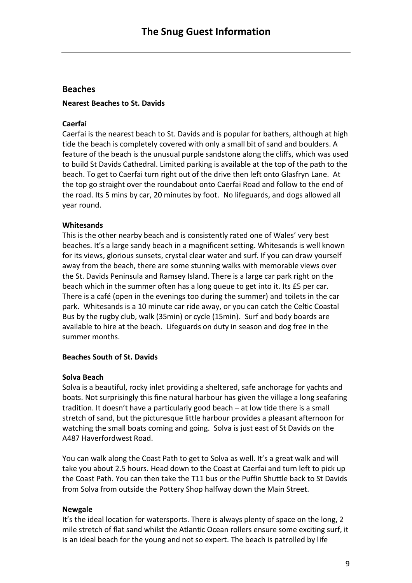# **Beaches**

### **Nearest Beaches to St. Davids**

### **Caerfai**

Caerfai is the nearest beach to St. Davids and is popular for bathers, although at high tide the beach is completely covered with only a small bit of sand and boulders. A feature of the beach is the unusual purple sandstone along the cliffs, which was used to build St Davids Cathedral. Limited parking is available at the top of the path to the beach. To get to Caerfai turn right out of the drive then left onto Glasfryn Lane. At the top go straight over the roundabout onto Caerfai Road and follow to the end of the road. Its 5 mins by car, 20 minutes by foot. No lifeguards, and dogs allowed all year round.

### **Whitesands**

This is the other nearby beach and is consistently rated one of Wales' very best beaches. It's a large sandy beach in a magnificent setting. Whitesands is well known for its views, glorious sunsets, crystal clear water and surf. If you can draw yourself away from the beach, there are some stunning walks with memorable views over the St. Davids Peninsula and Ramsey Island. There is a large car park right on the beach which in the summer often has a long queue to get into it. Its £5 per car. There is a café (open in the evenings too during the summer) and toilets in the car park. Whitesands is a 10 minute car ride away, or you can catch the Celtic Coastal Bus by the rugby club, walk (35min) or cycle (15min). Surf and body boards are available to hire at the beach. Lifeguards on duty in season and dog free in the summer months.

#### **Beaches South of St. Davids**

#### **Solva Beach**

Solva is a beautiful, rocky inlet providing a sheltered, safe anchorage for yachts and boats. Not surprisingly this fine natural harbour has given the village a long seafaring tradition. It doesn't have a particularly good beach – at low tide there is a small stretch of sand, but the picturesque little harbour provides a pleasant afternoon for watching the small boats coming and going. Solva is just east of St Davids on the A487 Haverfordwest Road.

You can walk along the Coast Path to get to Solva as well. It's a great walk and will take you about 2.5 hours. Head down to the Coast at Caerfai and turn left to pick up the Coast Path. You can then take the T11 bus or the Puffin Shuttle back to St Davids from Solva from outside the Pottery Shop halfway down the Main Street.

# **Newgale**

It's the ideal location for watersports. There is always plenty of space on the long, 2 mile stretch of flat sand whilst the Atlantic Ocean rollers ensure some exciting surf, it is an ideal beach for the young and not so expert. The beach is patrolled by life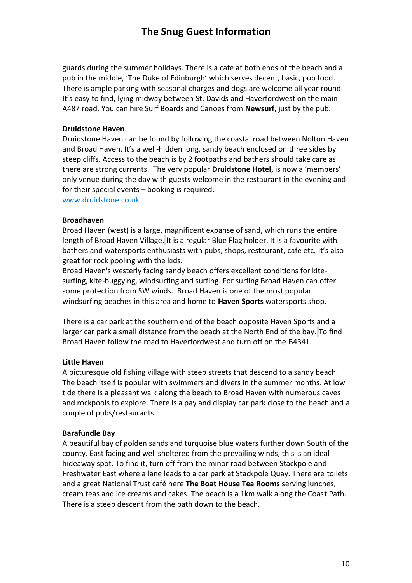guards during the summer holidays. There is a café at both ends of the beach and a pub in the middle, 'The Duke of Edinburgh' which serves decent, basic, pub food. There is ample parking with seasonal charges and dogs are welcome all year round. It's easy to find, lying midway between St. Davids and Haverfordwest on the main A487 road. You can hire Surf Boards and Canoes from **Newsurf**, just by the pub.

### **Druidstone Haven**

Druidstone Haven can be found by following the coastal road between Nolton Haven and Broad Haven. It's a well-hidden long, sandy beach enclosed on three sides by steep cliffs. Access to the beach is by 2 footpaths and bathers should take care as there are strong currents. The very popular **Druidstone Hotel,** is now a 'members' only venue during the day with guests welcome in the restaurant in the evening and for their special events – booking is required.

www.druidstone.co.uk

#### **Broadhaven**

Broad Haven (west) is a large, magnificent expanse of sand, which runs the entire length of Broad Haven Village. It is a regular Blue Flag holder. It is a favourite with bathers and watersports enthusiasts with pubs, shops, restaurant, cafe etc. It's also great for rock pooling with the kids.

Broad Haven's westerly facing sandy beach offers excellent conditions for kitesurfing, kite-buggying, windsurfing and surfing. For surfing Broad Haven can offer some protection from SW winds. Broad Haven is one of the most popular windsurfing beaches in this area and home to **Haven Sports** watersports shop.

There is a car park at the southern end of the beach opposite Haven Sports and a larger car park a small distance from the beach at the North End of the bay. To find Broad Haven follow the road to Haverfordwest and turn off on the B4341.

#### **Little Haven**

A picturesque old fishing village with steep streets that descend to a sandy beach. The beach itself is popular with swimmers and divers in the summer months. At low tide there is a pleasant walk along the beach to Broad Haven with numerous caves and rockpools to explore. There is a pay and display car park close to the beach and a couple of pubs/restaurants.

#### **Barafundle Bay**

A beautiful bay of golden sands and turquoise blue waters further down South of the county. East facing and well sheltered from the prevailing winds, this is an ideal hideaway spot. To find it, turn off from the minor road between Stackpole and Freshwater East where a lane leads to a car park at Stackpole Quay. There are toilets and a great National Trust café here **The Boat House Tea Rooms** serving lunches, cream teas and ice creams and cakes. The beach is a 1km walk along the Coast Path. There is a steep descent from the path down to the beach.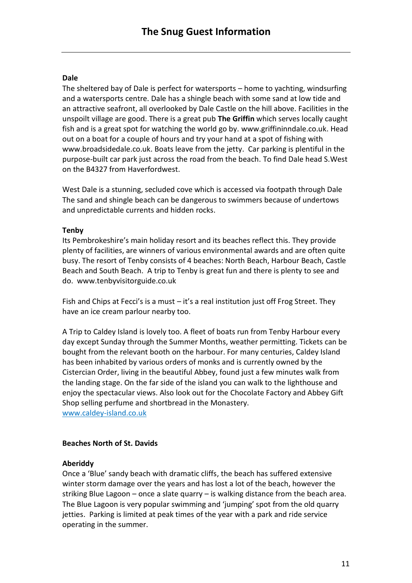# **Dale**

The sheltered bay of Dale is perfect for watersports – home to yachting, windsurfing and a watersports centre. Dale has a shingle beach with some sand at low tide and an attractive seafront, all overlooked by Dale Castle on the hill above. Facilities in the unspoilt village are good. There is a great pub **The Griffin** which serves locally caught fish and is a great spot for watching the world go by. [www.griffininndale.co.uk.](http://www.griffininndale.co.uk/) Head out on a boat for a couple of hours and try your hand at a spot of fishing with [www.broadsidedale.co.uk.](http://www.broadsidedale.co.uk/) Boats leave from the jetty. Car parking is plentiful in the purpose-built car park just across the road from the beach. To find Dale head S.West on the B4327 from Haverfordwest.

West Dale is a stunning, secluded cove which is accessed via footpath through Dale The sand and shingle beach can be dangerous to swimmers because of undertows and unpredictable currents and hidden rocks.

# **Tenby**

Its Pembrokeshire's main holiday resort and its beaches reflect this. They provide plenty of facilities, are winners of various environmental awards and are often quite busy. The resort of Tenby consists of 4 beaches: North Beach, Harbour Beach, Castle Beach and South Beach. A trip to Tenby is great fun and there is plenty to see and do. [www.tenbyvisitorguide.co.uk](http://www.tenbyvisitorguide.co.uk/)

Fish and Chips at Fecci's is a must – it's a real institution just off Frog Street. They have an ice cream parlour nearby too.

A Trip to Caldey Island is lovely too. A fleet of boats run from Tenby Harbour every day except Sunday through the Summer Months, weather permitting. Tickets can be bought from the relevant booth on the harbour. For many centuries, Caldey Island has been inhabited by various orders of monks and is currently owned by the Cistercian Order, living in the beautiful Abbey, found just a few minutes walk from the landing stage. On the far side of the island you can walk to the lighthouse and enjoy the spectacular views. Also look out for the Chocolate Factory and Abbey Gift Shop selling perfume and shortbread in the Monastery. [www.caldey-island.co.uk](http://www.caldey-island.co.uk/)

# **Beaches North of St. Davids**

# **Aberiddy**

Once a 'Blue' sandy beach with dramatic cliffs, the beach has suffered extensive winter storm damage over the years and has lost a lot of the beach, however the striking Blue Lagoon – once a slate quarry – is walking distance from the beach area. The Blue Lagoon is very popular swimming and 'jumping' spot from the old quarry jetties. Parking is limited at peak times of the year with a park and ride service operating in the summer.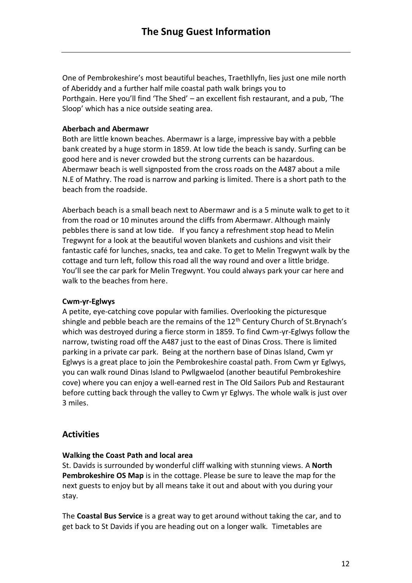One of Pembrokeshire's most beautiful beaches, Traethllyfn, lies just one mile north of Aberiddy and a further half mile coastal path walk brings you to Porthgain. Here you'll find 'The Shed' – an excellent fish restaurant, and a pub, 'The Sloop' which has a nice outside seating area.

# **Aberbach and Abermawr**

Both are little known beaches. Abermawr is a large, impressive bay with a pebble bank created by a huge storm in 1859. At low tide the beach is sandy. Surfing can be good here and is never crowded but the strong currents can be hazardous. Abermawr beach is well signposted from the cross roads on the A487 about a mile N.E of Mathry. The road is narrow and parking is limited. There is a short path to the beach from the roadside.

Aberbach beach is a small beach next to Abermawr and is a 5 minute walk to get to it from the road or 10 minutes around the cliffs from Abermawr. Although mainly pebbles there is sand at low tide. If you fancy a refreshment stop head to Melin Tregwynt for a look at the beautiful woven blankets and cushions and visit their fantastic café for lunches, snacks, tea and cake. To get to Melin Tregwynt walk by the cottage and turn left, follow this road all the way round and over a little bridge. You'll see the car park for Melin Tregwynt. You could always park your car here and walk to the beaches from here.

# **Cwm-yr-Eglwys**

A petite, eye-catching cove popular with families. Overlooking the picturesque shingle and pebble beach are the remains of the  $12<sup>th</sup>$  Century Church of St.Brynach's which was destroyed during a fierce storm in 1859. To find Cwm-yr-Eglwys follow the narrow, twisting road off the A487 just to the east of Dinas Cross. There is limited parking in a private car park. Being at the northern base of Dinas Island, Cwm yr Eglwys is a great place to join the Pembrokeshire coastal path. From Cwm yr Eglwys, you can walk round Dinas Island to Pwllgwaelod (another beautiful Pembrokeshire cove) where you can enjoy a well-earned rest in The Old Sailors Pub and Restaurant before cutting back through the valley to Cwm yr Eglwys. The whole walk is just over 3 miles.

# **Activities**

# **Walking the Coast Path and local area**

St. Davids is surrounded by wonderful cliff walking with stunning views. A **North Pembrokeshire OS Map** is in the cottage. Please be sure to leave the map for the next guests to enjoy but by all means take it out and about with you during your stay.

The **Coastal Bus Service** is a great way to get around without taking the car, and to get back to St Davids if you are heading out on a longer walk. Timetables are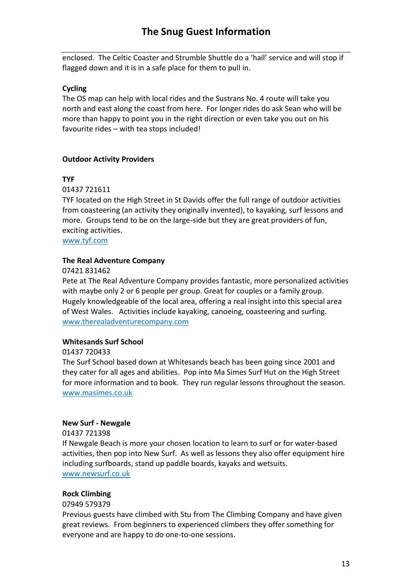enclosed. The Celtic Coaster and Strumble Shuttle do a 'hail' service and will stop if flagged down and it is in a safe place for them to pull in.

# **Cycling**

The OS map can help with local rides and the Sustrans No. 4 route will take you north and east along the coast from here. For longer rides do ask Sean who will be more than happy to point you in the right direction or even take you out on his favourite rides – with tea stops included!

# **Outdoor Activity Providers**

# **TYF**

01437 721611

TYF located on the High Street in St Davids offer the full range of outdoor activities from coasteering (an activity they originally invented), to kayaking, surf lessons and more. Groups tend to be on the large-side but they are great providers of fun, exciting activities.

[www.tyf.com](http://www.tyf.com/)

# **The Real Adventure Company**

07421 831462

Pete at The Real Adventure Company provides fantastic, more personalized activities with maybe only 2 or 6 people per group. Great for couples or a family group. Hugely knowledgeable of the local area, offering a real insight into this special area of West Wales. Activities include kayaking, canoeing, coasteering and surfing. [www.therealadventurecompany.com](http://www.therealadventurecompany.com/)

# **Whitesands Surf School**

01437 720433

The Surf School based down at Whitesands beach has been going since 2001 and they cater for all ages and abilities. Pop into Ma Simes Surf Hut on the High Street for more information and to book. They run regular lessons throughout the season. [www.masimes.co.uk](http://www.masimes.co.uk/)

# **New Surf - Newgale**

01437 721398

If Newgale Beach is more your chosen location to learn to surf or for water-based activities, then pop into New Surf. As well as lessons they also offer equipment hire including surfboards, stand up paddle boards, kayaks and wetsuits. [www.newsurf.co.uk](http://www.newsurf.co.uk/)

# **Rock Climbing**

07949 579379

Previous guests have climbed with Stu from The Climbing Company and have given great reviews. From beginners to experienced climbers they offer something for everyone and are happy to do one-to-one sessions.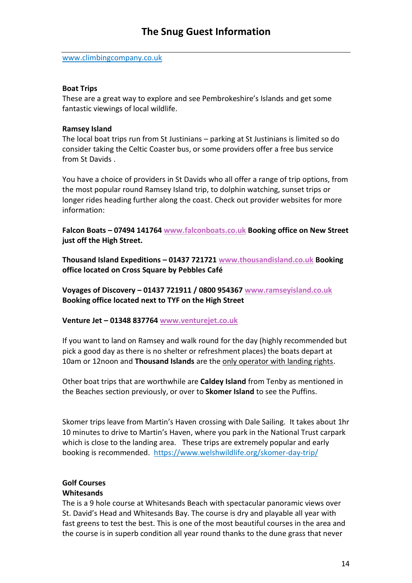[www.climbingcompany.co.uk](http://www.climbingcompany.co.uk/)

#### **Boat Trips**

These are a great way to explore and see Pembrokeshire's Islands and get some fantastic viewings of local wildlife.

#### **Ramsey Island**

The local boat trips run from St Justinians – parking at St Justinians is limited so do consider taking the Celtic Coaster bus, or some providers offer a free bus service from St Davids .

You have a choice of providers in St Davids who all offer a range of trip options, from the most popular round Ramsey Island trip, to dolphin watching, sunset trips or longer rides heading further along the coast. Check out provider websites for more information:

**Falcon Boats – 07494 141764 [www.falconboats.co.uk](http://www.falconboats.co.uk/) Booking office on New Street just off the High Street.**

**Thousand Island Expeditions – 01437 721721 [www.thousandisland.co.uk](http://www.thousandisland.co.uk/) Booking office located on Cross Square by Pebbles Café**

**Voyages of Discovery – 01437 721911 / 0800 954367 [www.ramseyisland.co.uk](http://www.ramseyisland.co.uk/) Booking office located next to TYF on the High Street**

**Venture Jet – 01348 837764 [www.venturejet.co.uk](http://www.venturejet.co.uk/)**

If you want to land on Ramsey and walk round for the day (highly recommended but pick a good day as there is no shelter or refreshment places) the boats depart at 10am or 12noon and **Thousand Islands** are the only operator with landing rights.

Other boat trips that are worthwhile are **Caldey Island** from Tenby as mentioned in the Beaches section previously, or over to **Skomer Island** to see the Puffins.

Skomer trips leave from Martin's Haven crossing with Dale Sailing. It takes about 1hr 10 minutes to drive to Martin's Haven, where you park in the National Trust carpark which is close to the landing area. These trips are extremely popular and early booking is recommended. <https://www.welshwildlife.org/skomer-day-trip/>

# **Golf Courses**

#### **Whitesands**

The is a 9 hole course at Whitesands Beach with spectacular panoramic views over St. David's Head and Whitesands Bay. The course is dry and playable all year with fast greens to test the best. This is one of the most beautiful courses in the area and the course is in superb condition all year round thanks to the dune grass that never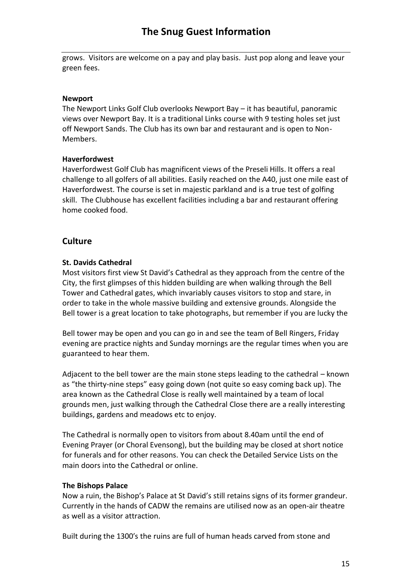grows. Visitors are welcome on a pay and play basis. Just pop along and leave your green fees.

# **Newport**

The Newport Links Golf Club overlooks Newport Bay – it has beautiful, panoramic views over Newport Bay. It is a traditional Links course with 9 testing holes set just off Newport Sands. The Club has its own bar and restaurant and is open to Non-Members.

### **Haverfordwest**

Haverfordwest Golf Club has magnificent views of the Preseli Hills. It offers a real challenge to all golfers of all abilities. Easily reached on the A40, just one mile east of Haverfordwest. The course is set in majestic parkland and is a true test of golfing skill. The Clubhouse has excellent facilities including a bar and restaurant offering home cooked food.

# **Culture**

# **St. Davids Cathedral**

Most visitors first view St David's Cathedral as they approach from the centre of the City, the first glimpses of this hidden building are when walking through the Bell Tower and Cathedral gates, which invariably causes visitors to stop and stare, in order to take in the whole massive building and extensive grounds. Alongside the Bell tower is a great location to take photographs, but remember if you are lucky the

Bell tower may be open and you can go in and see the team of Bell Ringers, Friday evening are practice nights and Sunday mornings are the regular times when you are guaranteed to hear them.

Adjacent to the bell tower are the main stone steps leading to the cathedral – known as "the thirty-nine steps" easy going down (not quite so easy coming back up). The area known as the Cathedral Close is really well maintained by a team of local grounds men, just walking through the Cathedral Close there are a really interesting buildings, gardens and meadows etc to enjoy.

The Cathedral is normally open to visitors from about 8.40am until the end of Evening Prayer (or Choral Evensong), but the building may be closed at short notice for funerals and for other reasons. You can check the Detailed Service Lists on the main doors into the Cathedral or online.

#### **The Bishops Palace**

Now a ruin, the Bishop's Palace at St David's still retains signs of its former grandeur. Currently in the hands of CADW the remains are utilised now as an open-air theatre as well as a visitor attraction.

Built during the 1300′s the ruins are full of human heads carved from stone and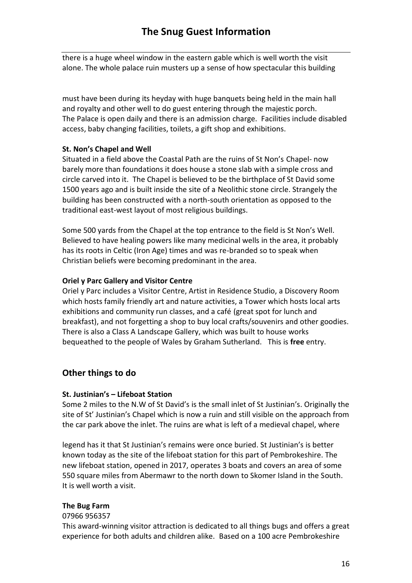there is a huge wheel window in the eastern gable which is well worth the visit alone. The whole palace ruin musters up a sense of how spectacular this building

must have been during its heyday with huge banquets being held in the main hall and royalty and other well to do guest entering through the majestic porch. The Palace is open daily and there is an admission charge. Facilities include disabled access, baby changing facilities, toilets, a gift shop and exhibitions.

# **St. Non's Chapel and Well**

Situated in a field above the Coastal Path are the ruins of St Non's Chapel- now barely more than foundations it does house a stone slab with a simple cross and circle carved into it. The Chapel is believed to be the birthplace of St David some 1500 years ago and is built inside the site of a Neolithic stone circle. Strangely the building has been constructed with a north-south orientation as opposed to the traditional east-west layout of most religious buildings.

Some 500 yards from the Chapel at the top entrance to the field is St Non's Well. Believed to have healing powers like many medicinal wells in the area, it probably has its roots in Celtic (Iron Age) times and was re-branded so to speak when Christian beliefs were becoming predominant in the area.

### **Oriel y Parc Gallery and Visitor Centre**

Oriel y Parc includes a Visitor Centre, Artist in Residence Studio, a Discovery Room which hosts family friendly art and nature activities, a Tower which hosts local arts exhibitions and community run classes, and a café (great spot for lunch and breakfast), and not forgetting a shop to buy local crafts/souvenirs and other goodies. There is also a Class A Landscape Gallery, which was built to house works bequeathed to the people of Wales by Graham Sutherland. This is **free** entry.

# **Other things to do**

#### **St. Justinian's – Lifeboat Station**

Some 2 miles to the N.W of St David's is the small inlet of St Justinian's. Originally the site of St' Justinian's Chapel which is now a ruin and still visible on the approach from the car park above the inlet. The ruins are what is left of a medieval chapel, where

legend has it that St Justinian's remains were once buried. St Justinian's is better known today as the site of the lifeboat station for this part of Pembrokeshire. The new lifeboat station, opened in 2017, operates 3 boats and covers an area of some 550 square miles from Abermawr to the north down to Skomer Island in the South. It is well worth a visit.

#### **The Bug Farm**

#### 07966 956357

This award-winning visitor attraction is dedicated to all things bugs and offers a great experience for both adults and children alike. Based on a 100 acre Pembrokeshire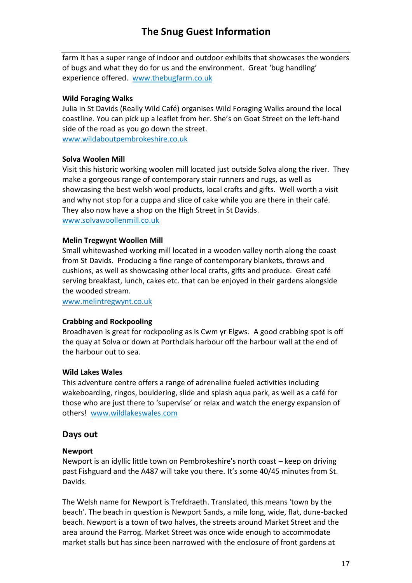# **The Snug Guest Information**

farm it has a super range of indoor and outdoor exhibits that showcases the wonders of bugs and what they do for us and the environment. Great 'bug handling' experience offered. [www.thebugfarm.co.uk](http://www.thebugfarm.co.uk/)

### **Wild Foraging Walks**

Julia in St Davids (Really Wild Café) organises Wild Foraging Walks around the local coastline. You can pick up a leaflet from her. She's on Goat Street on the left-hand side of the road as you go down the street.

[www.wildaboutpembrokeshire.co.uk](http://www.wildaboutpembrokeshire.co.uk/)

### **Solva Woolen Mill**

Visit this historic working woolen mill located just outside Solva along the river. They make a gorgeous range of contemporary stair runners and rugs, as well as showcasing the best welsh wool products, local crafts and gifts. Well worth a visit and why not stop for a cuppa and slice of cake while you are there in their café. They also now have a shop on the High Street in St Davids. [www.solvawoollenmill.co.uk](http://www.solvawoollenmill.co.uk/)

### **Melin Tregwynt Woollen Mill**

Small whitewashed working mill located in a wooden valley north along the coast from St Davids. Producing a fine range of contemporary blankets, throws and cushions, as well as showcasing other local crafts, gifts and produce. Great café serving breakfast, lunch, cakes etc. that can be enjoyed in their gardens alongside the wooded stream.

[www.melintregwynt.co.uk](http://www.melintregwynt.co.uk/)

#### **Crabbing and Rockpooling**

Broadhaven is great for rockpooling as is Cwm yr Elgws. A good crabbing spot is off the quay at Solva or down at Porthclais harbour off the harbour wall at the end of the harbour out to sea.

#### **Wild Lakes Wales**

This adventure centre offers a range of adrenaline fueled activities including wakeboarding, ringos, bouldering, slide and splash aqua park, as well as a café for those who are just there to 'supervise' or relax and watch the energy expansion of others! [www.wildlakeswales.com](http://www.wildlakeswales.com/)

# **Days out**

#### **Newport**

Newport is an idyllic little town on Pembrokeshire's north coast – keep on driving past Fishguard and the A487 will take you there. It's some 40/45 minutes from St. Davids.

The Welsh name for Newport is Trefdraeth. Translated, this means 'town by the beach'. The beach in question is Newport Sands, a mile long, wide, flat, dune-backed beach. Newport is a town of two halves, the streets around Market Street and the area around the Parrog. Market Street was once wide enough to accommodate market stalls but has since been narrowed with the enclosure of front gardens at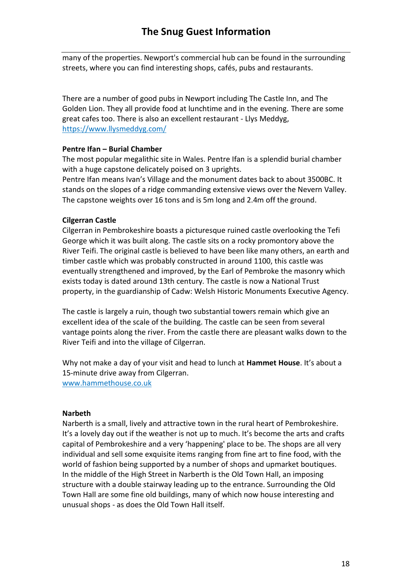many of the properties. Newport's commercial hub can be found in the surrounding streets, where you can find interesting shops, cafés, pubs and restaurants.

There are a number of good pubs in Newport including The Castle Inn, and The Golden Lion. They all provide food at lunchtime and in the evening. There are some great cafes too. There is also an excellent restaurant - Llys Meddyg, <https://www.llysmeddyg.com/>

### **Pentre Ifan – Burial Chamber**

The most popular megalithic site in Wales. Pentre Ifan is a splendid burial chamber with a huge capstone delicately poised on 3 uprights.

Pentre Ifan means Ivan's Village and the monument dates back to about 3500BC. It stands on the slopes of a ridge commanding extensive views over the Nevern Valley. The capstone weights over 16 tons and is 5m long and 2.4m off the ground.

### **Cilgerran Castle**

Cilgerran in Pembrokeshire boasts a picturesque ruined castle overlooking the Tefi George which it was built along. The castle sits on a rocky promontory above the River Teifi. The original castle is believed to have been like many others, an earth and timber castle which was probably constructed in around 1100, this castle was eventually strengthened and improved, by the Earl of Pembroke the masonry which exists today is dated around 13th century. The castle is now a National Trust property, in the guardianship of Cadw: Welsh Historic Monuments Executive Agency.

The castle is largely a ruin, though two substantial towers remain which give an excellent idea of the scale of the building. The castle can be seen from several vantage points along the river. From the castle there are pleasant walks down to the River Teifi and into the village of Cilgerran.

Why not make a day of your visit and head to lunch at **Hammet House**. It's about a 15-minute drive away from Cilgerran. [www.hammethouse.co.uk](http://www.hammethouse.co.uk/)

#### **Narbeth**

Narberth is a small, lively and attractive town in the rural heart of Pembrokeshire. It's a lovely day out if the weather is not up to much. It's become the arts and crafts capital of Pembrokeshire and a very 'happening' place to be. The shops are all very individual and sell some exquisite items ranging from fine art to fine food, with the world of fashion being supported by a number of shops and upmarket boutiques. In the middle of the High Street in Narberth is the Old Town Hall, an imposing structure with a double stairway leading up to the entrance. Surrounding the Old Town Hall are some fine old buildings, many of which now house interesting and unusual shops - as does the Old Town Hall itself.